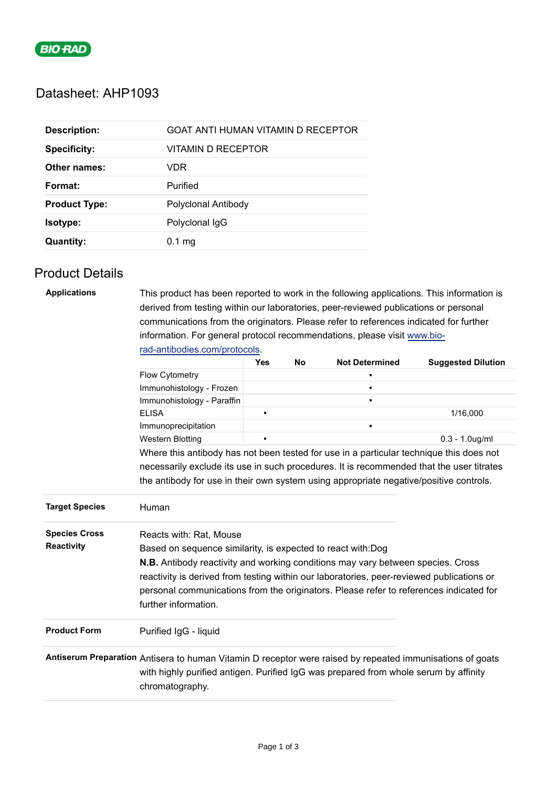

# Datasheet: AHP1093

| <b>Description:</b>  | GOAT ANTI HUMAN VITAMIN D RECEPTOR |
|----------------------|------------------------------------|
| <b>Specificity:</b>  | VITAMIN D RECEPTOR                 |
| Other names:         | VDR                                |
| Format:              | Purified                           |
| <b>Product Type:</b> | Polyclonal Antibody                |
| Isotype:             | Polyclonal IgG                     |
| <b>Quantity:</b>     | $0.1 \text{ mg}$                   |

## Product Details

| <b>Applications</b>   | This product has been reported to work in the following applications. This information is                                                                                                                            |                |  |                |                   |  |  |  |
|-----------------------|----------------------------------------------------------------------------------------------------------------------------------------------------------------------------------------------------------------------|----------------|--|----------------|-------------------|--|--|--|
|                       | derived from testing within our laboratories, peer-reviewed publications or personal                                                                                                                                 |                |  |                |                   |  |  |  |
|                       | communications from the originators. Please refer to references indicated for further                                                                                                                                |                |  |                |                   |  |  |  |
|                       | information. For general protocol recommendations, please visit www.bio-                                                                                                                                             |                |  |                |                   |  |  |  |
|                       | rad-antibodies.com/protocols.                                                                                                                                                                                        |                |  |                |                   |  |  |  |
|                       | <b>Suggested Dilution</b>                                                                                                                                                                                            |                |  |                |                   |  |  |  |
|                       | Flow Cytometry                                                                                                                                                                                                       |                |  |                |                   |  |  |  |
|                       | Immunohistology - Frozen                                                                                                                                                                                             |                |  | П              |                   |  |  |  |
|                       | Immunohistology - Paraffin                                                                                                                                                                                           |                |  | $\blacksquare$ |                   |  |  |  |
|                       | <b>ELISA</b>                                                                                                                                                                                                         | $\blacksquare$ |  |                | 1/16,000          |  |  |  |
|                       | Immunoprecipitation                                                                                                                                                                                                  |                |  | n,             |                   |  |  |  |
|                       | <b>Western Blotting</b>                                                                                                                                                                                              | $\blacksquare$ |  |                | $0.3 - 1.0$ ug/ml |  |  |  |
|                       | Where this antibody has not been tested for use in a particular technique this does not                                                                                                                              |                |  |                |                   |  |  |  |
|                       | necessarily exclude its use in such procedures. It is recommended that the user titrates                                                                                                                             |                |  |                |                   |  |  |  |
|                       | the antibody for use in their own system using appropriate negative/positive controls.                                                                                                                               |                |  |                |                   |  |  |  |
| <b>Target Species</b> | Human                                                                                                                                                                                                                |                |  |                |                   |  |  |  |
| <b>Species Cross</b>  | Reacts with: Rat, Mouse                                                                                                                                                                                              |                |  |                |                   |  |  |  |
| <b>Reactivity</b>     | Based on sequence similarity, is expected to react with: Dog                                                                                                                                                         |                |  |                |                   |  |  |  |
|                       | <b>N.B.</b> Antibody reactivity and working conditions may vary between species. Cross                                                                                                                               |                |  |                |                   |  |  |  |
|                       |                                                                                                                                                                                                                      |                |  |                |                   |  |  |  |
|                       | reactivity is derived from testing within our laboratories, peer-reviewed publications or<br>personal communications from the originators. Please refer to references indicated for                                  |                |  |                |                   |  |  |  |
|                       | further information.                                                                                                                                                                                                 |                |  |                |                   |  |  |  |
|                       |                                                                                                                                                                                                                      |                |  |                |                   |  |  |  |
| <b>Product Form</b>   | Purified IgG - liquid                                                                                                                                                                                                |                |  |                |                   |  |  |  |
|                       | Antiserum Preparation Antisera to human Vitamin D receptor were raised by repeated immunisations of goats<br>with highly purified antigen. Purified IgG was prepared from whole serum by affinity<br>chromatography. |                |  |                |                   |  |  |  |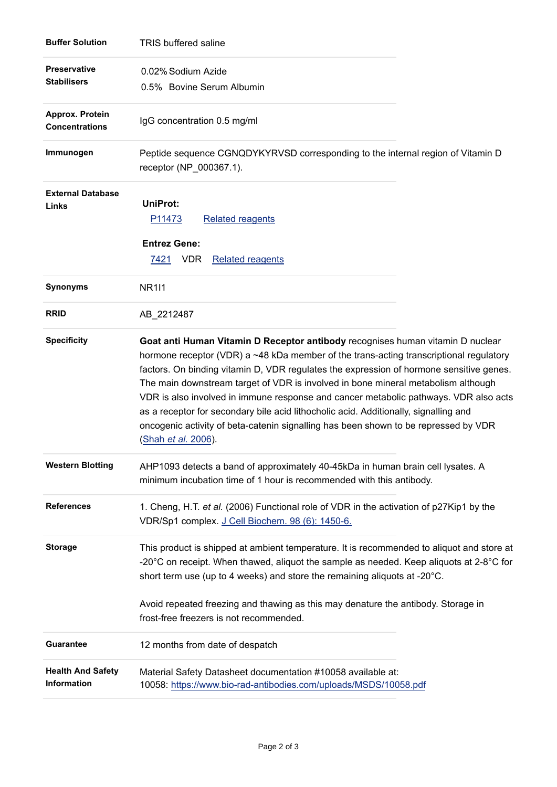| <b>Buffer Solution</b>                    | <b>TRIS buffered saline</b>                                                                                                                                                                                                                                                                                                                                                                                                                                                                                                                                                                                                                            |
|-------------------------------------------|--------------------------------------------------------------------------------------------------------------------------------------------------------------------------------------------------------------------------------------------------------------------------------------------------------------------------------------------------------------------------------------------------------------------------------------------------------------------------------------------------------------------------------------------------------------------------------------------------------------------------------------------------------|
| <b>Preservative</b><br><b>Stabilisers</b> | 0.02% Sodium Azide<br>0.5% Bovine Serum Albumin                                                                                                                                                                                                                                                                                                                                                                                                                                                                                                                                                                                                        |
| Approx. Protein<br><b>Concentrations</b>  | IgG concentration 0.5 mg/ml                                                                                                                                                                                                                                                                                                                                                                                                                                                                                                                                                                                                                            |
| Immunogen                                 | Peptide sequence CGNQDYKYRVSD corresponding to the internal region of Vitamin D<br>receptor (NP_000367.1).                                                                                                                                                                                                                                                                                                                                                                                                                                                                                                                                             |
| <b>External Database</b><br>Links         | <b>UniProt:</b><br>P <sub>11473</sub><br><b>Related reagents</b><br><b>Entrez Gene:</b>                                                                                                                                                                                                                                                                                                                                                                                                                                                                                                                                                                |
|                                           | 7421 VDR<br><b>Related reagents</b>                                                                                                                                                                                                                                                                                                                                                                                                                                                                                                                                                                                                                    |
| Synonyms                                  | <b>NR1I1</b>                                                                                                                                                                                                                                                                                                                                                                                                                                                                                                                                                                                                                                           |
| <b>RRID</b>                               | AB_2212487                                                                                                                                                                                                                                                                                                                                                                                                                                                                                                                                                                                                                                             |
| <b>Specificity</b>                        | Goat anti Human Vitamin D Receptor antibody recognises human vitamin D nuclear<br>hormone receptor (VDR) a ~48 kDa member of the trans-acting transcriptional regulatory<br>factors. On binding vitamin D, VDR regulates the expression of hormone sensitive genes.<br>The main downstream target of VDR is involved in bone mineral metabolism although<br>VDR is also involved in immune response and cancer metabolic pathways. VDR also acts<br>as a receptor for secondary bile acid lithocholic acid. Additionally, signalling and<br>oncogenic activity of beta-catenin signalling has been shown to be repressed by VDR<br>(Shah et al. 2006). |
| <b>Western Blotting</b>                   | AHP1093 detects a band of approximately 40-45kDa in human brain cell lysates. A<br>minimum incubation time of 1 hour is recommended with this antibody.                                                                                                                                                                                                                                                                                                                                                                                                                                                                                                |
| <b>References</b>                         | 1. Cheng, H.T. et al. (2006) Functional role of VDR in the activation of p27Kip1 by the<br>VDR/Sp1 complex. J Cell Biochem. 98 (6): 1450-6.                                                                                                                                                                                                                                                                                                                                                                                                                                                                                                            |
| <b>Storage</b>                            | This product is shipped at ambient temperature. It is recommended to aliquot and store at<br>-20 $^{\circ}$ C on receipt. When thawed, aliquot the sample as needed. Keep aliquots at 2-8 $^{\circ}$ C for<br>short term use (up to 4 weeks) and store the remaining aliquots at -20°C.                                                                                                                                                                                                                                                                                                                                                                |
|                                           | Avoid repeated freezing and thawing as this may denature the antibody. Storage in<br>frost-free freezers is not recommended.                                                                                                                                                                                                                                                                                                                                                                                                                                                                                                                           |
| <b>Guarantee</b>                          | 12 months from date of despatch                                                                                                                                                                                                                                                                                                                                                                                                                                                                                                                                                                                                                        |
| <b>Health And Safety</b><br>Information   | Material Safety Datasheet documentation #10058 available at:<br>10058: https://www.bio-rad-antibodies.com/uploads/MSDS/10058.pdf                                                                                                                                                                                                                                                                                                                                                                                                                                                                                                                       |